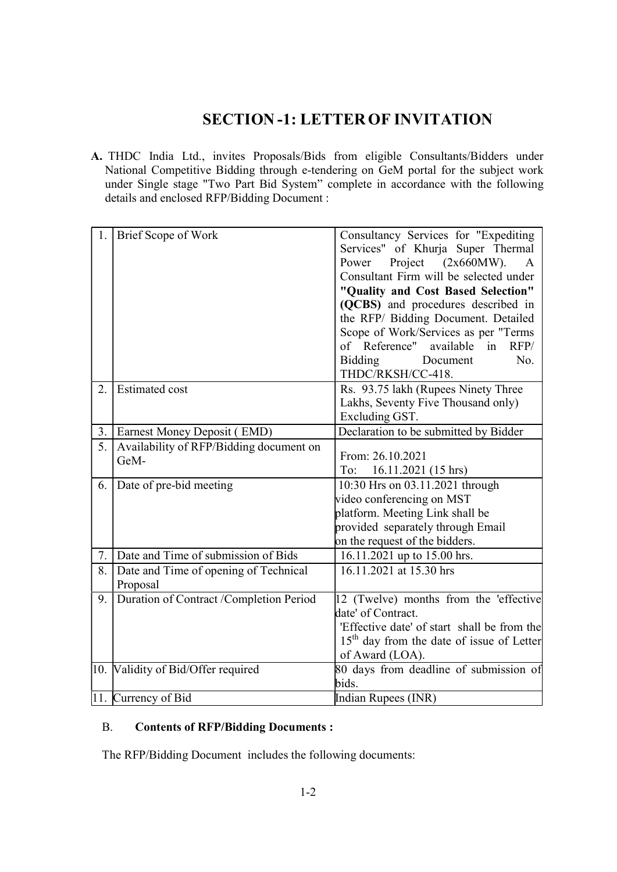## SECTION -1: LETTER OF INVITATION

A. THDC India Ltd., invites Proposals/Bids from eligible Consultants/Bidders under National Competitive Bidding through e-tendering on GeM portal for the subject work under Single stage "Two Part Bid System" complete in accordance with the following details and enclosed RFP/Bidding Document :

| 1. | <b>Brief Scope of Work</b>              | Consultancy Services for "Expediting        |
|----|-----------------------------------------|---------------------------------------------|
|    |                                         | Services" of Khurja Super Thermal           |
|    |                                         | Project $(2x660MW).$<br>Power<br>A          |
|    |                                         | Consultant Firm will be selected under      |
|    |                                         | "Quality and Cost Based Selection"          |
|    |                                         | (QCBS) and procedures described in          |
|    |                                         | the RFP/ Bidding Document. Detailed         |
|    |                                         | Scope of Work/Services as per "Terms        |
|    |                                         | of Reference" available<br>in<br>RFP/       |
|    |                                         | Bidding<br>No.<br>Document                  |
|    |                                         | THDC/RKSH/CC-418.                           |
| 2. | <b>Estimated cost</b>                   | Rs. 93.75 lakh (Rupees Ninety Three         |
|    |                                         | Lakhs, Seventy Five Thousand only)          |
|    |                                         | Excluding GST.                              |
| 3. | Earnest Money Deposit (EMD)             | Declaration to be submitted by Bidder       |
| 5. | Availability of RFP/Bidding document on |                                             |
|    | GeM-                                    | From: 26.10.2021                            |
|    |                                         | To:<br>16.11.2021 (15 hrs)                  |
| 6. | Date of pre-bid meeting                 | 10:30 Hrs on 03.11.2021 through             |
|    |                                         | video conferencing on MST                   |
|    |                                         | platform. Meeting Link shall be             |
|    |                                         | provided separately through Email           |
|    |                                         | on the request of the bidders.              |
| 7. | Date and Time of submission of Bids     | 16.11.2021 up to 15.00 hrs.                 |
| 8. | Date and Time of opening of Technical   | 16.11.2021 at 15.30 hrs                     |
|    | Proposal                                |                                             |
| 9. | Duration of Contract /Completion Period | 12 (Twelve) months from the 'effective      |
|    |                                         | date' of Contract.                          |
|    |                                         | 'Effective date' of start shall be from the |
|    |                                         | $15th$ day from the date of issue of Letter |
|    |                                         | of Award (LOA).                             |
|    | 10. Validity of Bid/Offer required      | 80 days from deadline of submission of      |
|    |                                         | bids.                                       |
|    | 11. Currency of Bid                     | Indian Rupees (INR)                         |

## B. Contents of RFP/Bidding Documents :

The RFP/Bidding Document includes the following documents: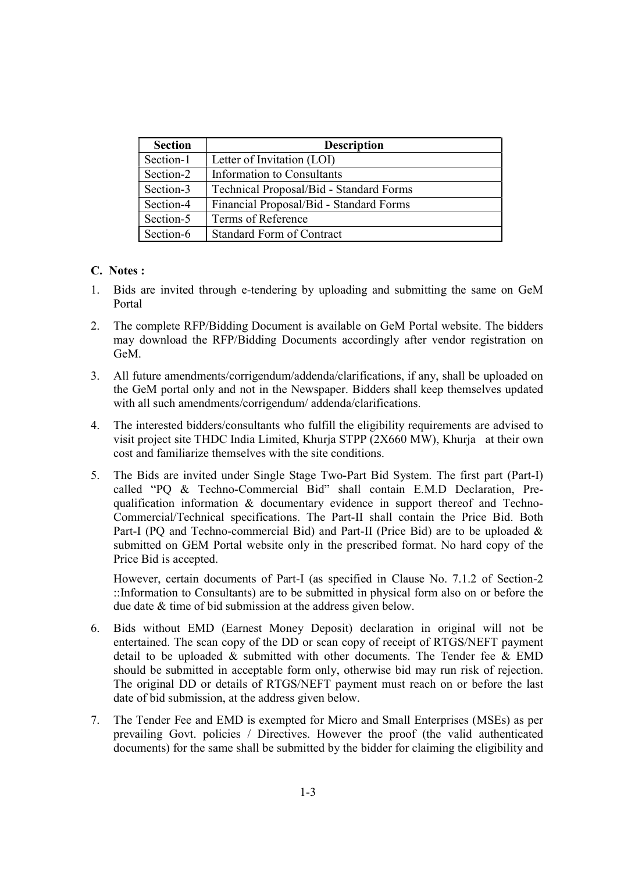| <b>Section</b> | <b>Description</b>                      |
|----------------|-----------------------------------------|
| Section-1      | Letter of Invitation (LOI)              |
| Section-2      | Information to Consultants              |
| Section-3      | Technical Proposal/Bid - Standard Forms |
| Section-4      | Financial Proposal/Bid - Standard Forms |
| Section-5      | Terms of Reference                      |
| Section-6      | <b>Standard Form of Contract</b>        |

## C. Notes :

- 1. Bids are invited through e-tendering by uploading and submitting the same on GeM Portal
- 2. The complete RFP/Bidding Document is available on GeM Portal website. The bidders may download the RFP/Bidding Documents accordingly after vendor registration on GeM.
- 3. All future amendments/corrigendum/addenda/clarifications, if any, shall be uploaded on the GeM portal only and not in the Newspaper. Bidders shall keep themselves updated with all such amendments/corrigendum/ addenda/clarifications.
- 4. The interested bidders/consultants who fulfill the eligibility requirements are advised to visit project site THDC India Limited, Khurja STPP (2X660 MW), Khurja at their own cost and familiarize themselves with the site conditions.
- 5. The Bids are invited under Single Stage Two-Part Bid System. The first part (Part-I) called "PQ & Techno-Commercial Bid" shall contain E.M.D Declaration, Prequalification information & documentary evidence in support thereof and Techno-Commercial/Technical specifications. The Part-II shall contain the Price Bid. Both Part-I (PO and Techno-commercial Bid) and Part-II (Price Bid) are to be uploaded & submitted on GEM Portal website only in the prescribed format. No hard copy of the Price Bid is accepted.

However, certain documents of Part-I (as specified in Clause No. 7.1.2 of Section-2 ::Information to Consultants) are to be submitted in physical form also on or before the due date & time of bid submission at the address given below.

- 6. Bids without EMD (Earnest Money Deposit) declaration in original will not be entertained. The scan copy of the DD or scan copy of receipt of RTGS/NEFT payment detail to be uploaded & submitted with other documents. The Tender fee & EMD should be submitted in acceptable form only, otherwise bid may run risk of rejection. The original DD or details of RTGS/NEFT payment must reach on or before the last date of bid submission, at the address given below.
- 7. The Tender Fee and EMD is exempted for Micro and Small Enterprises (MSEs) as per prevailing Govt. policies / Directives. However the proof (the valid authenticated documents) for the same shall be submitted by the bidder for claiming the eligibility and